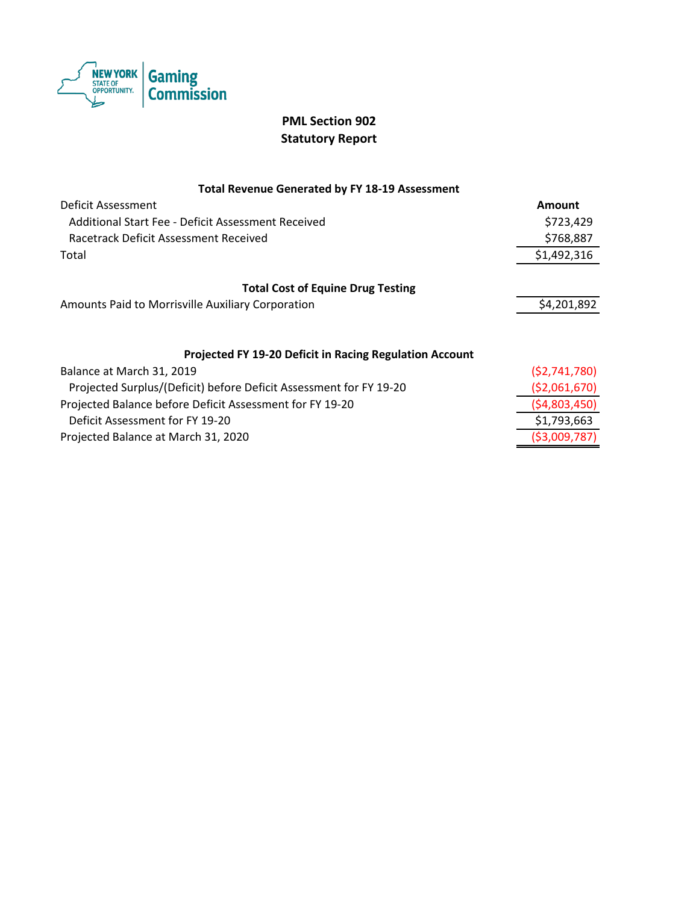

# **PML Section 902 Statutory Report**

### **Total Revenue Generated by FY 18-19 Assessment**

| Deficit Assessment                                                 | Amount       |
|--------------------------------------------------------------------|--------------|
| Additional Start Fee - Deficit Assessment Received                 | \$723,429    |
| Racetrack Deficit Assessment Received                              | \$768,887    |
| Total                                                              | \$1,492,316  |
|                                                                    |              |
| <b>Total Cost of Equine Drug Testing</b>                           |              |
| Amounts Paid to Morrisville Auxiliary Corporation                  | \$4,201,892  |
|                                                                    |              |
| <b>Projected FY 19-20 Deficit in Racing Regulation Account</b>     |              |
| Balance at March 31, 2019                                          | (52,741,780) |
| Projected Surplus/(Deficit) before Deficit Assessment for FY 19-20 | (52,061,670) |
| Projected Balance before Deficit Assessment for FY 19-20           | (54,803,450) |
| Deficit Assessment for FY 19-20                                    | \$1,793,663  |

Projected Balance at March 31, 2020 (\$3,009,787)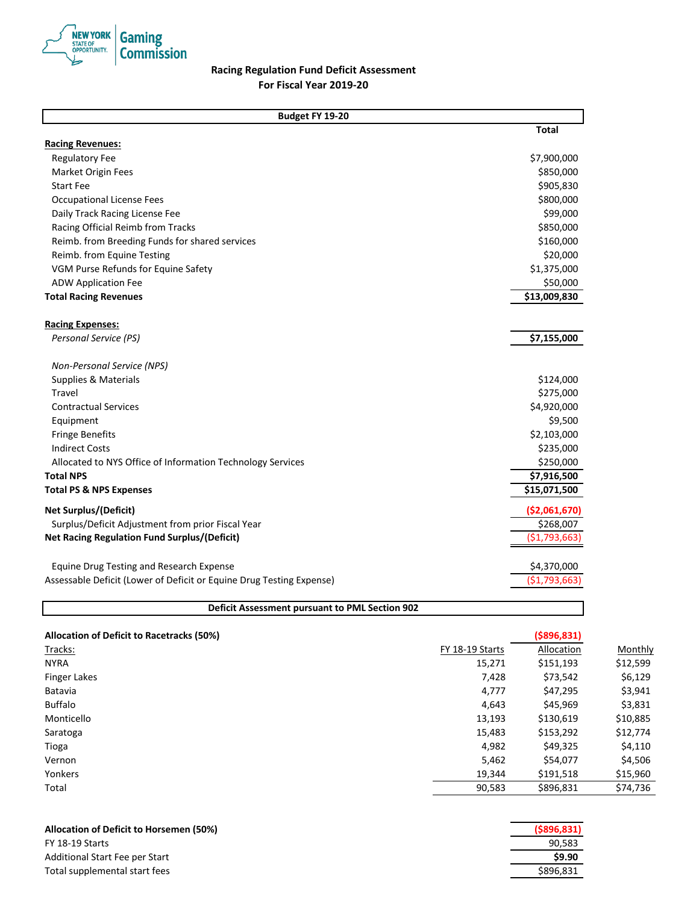

## **Racing Regulation Fund Deficit Assessment For Fiscal Year 2019-20**

| Budget FY 19-20                                                      |                |
|----------------------------------------------------------------------|----------------|
|                                                                      | <b>Total</b>   |
| <b>Racing Revenues:</b>                                              |                |
| <b>Regulatory Fee</b>                                                | \$7,900,000    |
| Market Origin Fees                                                   | \$850,000      |
| <b>Start Fee</b>                                                     | \$905,830      |
| <b>Occupational License Fees</b>                                     | \$800,000      |
| Daily Track Racing License Fee                                       | \$99,000       |
| Racing Official Reimb from Tracks                                    | \$850,000      |
| Reimb. from Breeding Funds for shared services                       | \$160,000      |
| Reimb. from Equine Testing                                           | \$20,000       |
| VGM Purse Refunds for Equine Safety                                  | \$1,375,000    |
| <b>ADW Application Fee</b>                                           | \$50,000       |
| <b>Total Racing Revenues</b>                                         | \$13,009,830   |
| <b>Racing Expenses:</b>                                              |                |
| Personal Service (PS)                                                | \$7,155,000    |
| <b>Non-Personal Service (NPS)</b>                                    |                |
| <b>Supplies &amp; Materials</b>                                      | \$124,000      |
| Travel                                                               | \$275,000      |
| <b>Contractual Services</b>                                          | \$4,920,000    |
| Equipment                                                            | \$9,500        |
| <b>Fringe Benefits</b>                                               | \$2,103,000    |
| <b>Indirect Costs</b>                                                | \$235,000      |
| Allocated to NYS Office of Information Technology Services           | \$250,000      |
| <b>Total NPS</b>                                                     | \$7,916,500    |
| <b>Total PS &amp; NPS Expenses</b>                                   | \$15,071,500   |
| <b>Net Surplus/(Deficit)</b>                                         | ( \$2,061,670) |
| Surplus/Deficit Adjustment from prior Fiscal Year                    | \$268,007      |
| <b>Net Racing Regulation Fund Surplus/(Deficit)</b>                  | ( \$1,793,663) |
| <b>Equine Drug Testing and Research Expense</b>                      | \$4,370,000    |
| Assessable Deficit (Lower of Deficit or Equine Drug Testing Expense) | ( \$1,793,663  |

| <b>Allocation of Deficit to Racetracks (50%)</b> |                 | ( \$896, 831) |          |
|--------------------------------------------------|-----------------|---------------|----------|
| Tracks:                                          | FY 18-19 Starts | Allocation    | Monthly  |
| <b>NYRA</b>                                      | 15,271          | \$151,193     | \$12,599 |
| <b>Finger Lakes</b>                              | 7,428           | \$73,542      | \$6,129  |
| Batavia                                          | 4,777           | \$47,295      | \$3,941  |
| <b>Buffalo</b>                                   | 4,643           | \$45,969      | \$3,831  |
| Monticello                                       | 13,193          | \$130,619     | \$10,885 |
| Saratoga                                         | 15,483          | \$153,292     | \$12,774 |
| Tioga                                            | 4,982           | \$49,325      | \$4,110  |
| Vernon                                           | 5,462           | \$54,077      | \$4,506  |
| Yonkers                                          | 19,344          | \$191,518     | \$15,960 |
| Total                                            | 90,583          | \$896,831     | \$74,736 |

| <b>Allocation of Deficit to Horsemen (50%)</b> | $($ \$896,831) |
|------------------------------------------------|----------------|
| FY 18-19 Starts                                | 90.583         |
| Additional Start Fee per Start                 | \$9.90         |
| Total supplemental start fees                  | \$896.831      |

**Deficit Assessment pursuant to PML Section 902**